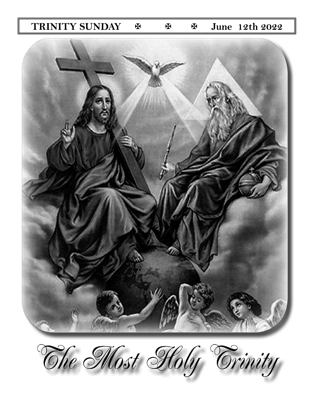# TRINITY SUNDAY & & F June 12th 2022

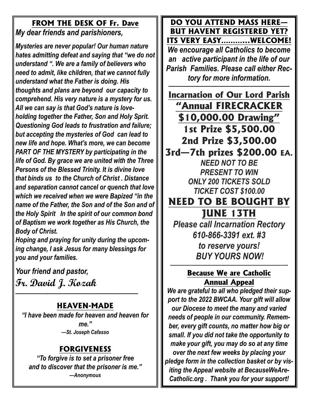### **FROM THE DESK OF Fr. Dave** *My dear friends and parishioners,*

*Mysteries are never popular! Our human nature hates admitting defeat and saying that "we do not understand ". We are a family of believers who need to admit, like children, that we cannot fully understand what the Father is doing. His thoughts and plans are beyond our capacity to comprehend. His very nature is a mystery for us. All we can say is that God's nature is loveholding together the Father, Son and Holy Sprit. Questioning God leads to frustration and failure; but accepting the mysteries of God can lead to new life and hope. What's more, we can become PART OF THE MYSTERY by participating in the life of God. By grace we are united with the Three Persons of the Blessed Trinity. It is divine love that binds us to the Church of Christ . Distance and separation cannot cancel or quench that love which we received when we were Bapized "in the name of the Father, the Son and of the Son and of the Holy Spirit In the spirit of our common bond of Baptism we work together as His Church, the Body of Christ.*

*Hoping and praying for unity during the upcoming change, I ask Jesus for many blessings for you and your families.* 

*Your friend and pastor,* 

**Fr. David J. Kozak** 

# **HEAVEN-MADE**

*——————-——————————————————*

*"I have been made for heaven and heaven for me." —St. Joseph Cafasso*

# **FORGIVENESS**

*"To forgive is to set a prisoner free and to discover that the prisoner is me." —Anonymous* 

### **DO YOU ATTEND MASS HERE— BUT HAVENT REGISTERED YET? ITS VERY EASY………...WELCOME!**

*We encourage all Catholics to become an active participant in the life of our Parish Families. Please call either Rectory for more information.*

*————————————————————————*  **Incarnation of Our Lord Parish "Annual FIRECRACKER \$10,000.00 Drawing" 1st Prize \$5,500.00 2nd Prize \$3,500.00 3rd—7th prizes \$200.00 EA.**  *NEED NOT TO BE PRESENT TO WIN ONLY 200 TICKETS SOLD TICKET COST \$100.00* **NEED TO BE BOUGHT BY JUNE 13TH**  *Please call Incarnation Rectory 610-866-3391 ext. #3 to reserve yours!*

*BUY YOURS NOW!* 

### *———————————————————————-* **Because We are Catholic Annual Appeal**

*We are grateful to all who pledged their support to the 2022 BWCAA. Your gift will allow our Diocese to meet the many and varied needs of people in our community. Remember, every gift counts, no matter how big or small. If you did not take the opportunity to make your gift, you may do so at any time over the next few weeks by placing your pledge form in the collection basket or by visiting the Appeal website at BecauseWeAre-Catholic.org . Thank you for your support!*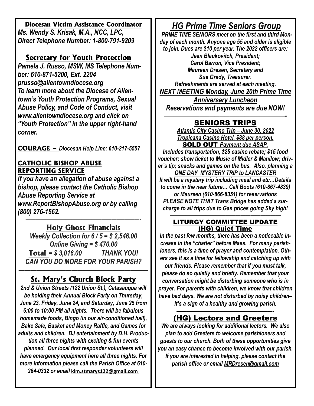### **Diocesan Victim Assistance Coordinator**

*Ms. Wendy S. Krisak, M.A., NCC, LPC, Direct Telephone Number: 1-800-791-9209* 

# **Secretary for Youth Protection**

*Pamela J. Russo, MSW, MS Telephone Number: 610-871-5200, Ext. 2204 prusso@allentowndiocese.org To learn more about the Diocese of Allentown's Youth Protection Programs, Sexual Abuse Policy, and Code of Conduct, visit www.allentowndiocese.org and click on "Youth Protection" in the upper right-hand corner.* 

**COURAGE –** *Diocesan Help Line: 610-217-5557* 

### **CATHOLIC BISHOP ABUSE REPORTING SERVICE**

*If you have an allegation of abuse against a bishop, please contact the Catholic Bishop Abuse Reporting Service at www.ReportBishopAbuse.org or by calling (800) 276-1562.*

### *——————————————————–————-* **Holy Ghost Financials**

*Weekly Collection for 6 / 5 = \$ 2,546.00 Online Giving = \$ 470.00* **Total** *= \$ 3,016.00 THANK YOU! CAN YOU DO MORE FOR YOUR PARISH?*

#### *——————————————————————* **St. Mary's Church Block Party**

*2nd & Union Streets (122 Union St.), Catasauqua will be holding their Annual Block Party on Thursday, June 23, Friday, June 24, and Saturday, June 25 from 6:00 to 10:00 PM all nights. There will be fabulous homemade foods, Bingo (in our air-conditioned hall), Bake Sale, Basket and Money Raffle, and Games for adults and children. DJ entertainment by D.H. Production all three nights with exciting & fun events planned. Our local first responder volunteers will have emergency equipment here all three nights. For more information please call the Parish Office at 610- 264-0332 or email* **[kim.s](mailto:kim.bil@verizon.net)[tmarys122@gmail.com](mailto:stmarys122@gmail.com)**

# *HG Prime Time Seniors Group*

 *PRIME TIME SENIORS meet on the first and third Monday of each month. Anyone age 55 and older is eligible to join. Dues are \$10 per year. The 2022 officers are:* 

*Jean Blaukovitch, President; Carol Barron, Vice President; Maureen Dresen, Secretary and Sue Grady, Treasurer. Refreshments are served at each meeting. NEXT MEETING Monday, June 20th Prime Time* 

*Anniversary Luncheon Reservations and payments are due NOW!*

#### *————————————————————————-* **SENIORS TRIPS**

*Atlantic City Casino Trip – June 30, 2022 Tropicana Casino Hotel. \$88 per person.*  **SOLD OUT** *Payment due ASAP.* 

*Includes transportation, \$25 casino rebate; \$15 food voucher; show ticket to Music of Midler & Manilow; driver's tip; snacks and games on the bus. Also, planning a* 

*ONE DAY MYSTERY TRIP to LANCASTER It will be a mystery trip including meal and etc…Details to come in the near future… Call Boots (610-867-4839) or Maureen (610-866-8351) for reservations PLEASE NOTE THAT Trans Bridge has added a surcharge to all trips due to Gas prices going Sky high!*

#### *——————————————————————* **LITURGY COMMITTEE UPDATE (HG) Quiet Time**

*In the past few months, there has been a noticeable increase in the "chatter" before Mass. For many parishioners, this is a time of prayer and contemplation. Others see it as a time for fellowship and catching up with our friends. Please remember that if you must talk, please do so quietly and briefly. Remember that your conversation might be disturbing someone who is in prayer. For parents with children, we know that children have bad days. We are not disturbed by noisy children– it's a sign of a healthy and growing parish.* 

#### *———————————————————-*  **(HG) Lectors and Greeters**

*We are always looking for additional lectors. We also plan to add Greeters to welcome parishioners and guests to our church. Both of these opportunities give you an easy chance to become involved with our parish. If you are interested in helping, please contact the parish office or email [MRDresen@gmail.com](mailto:MRDresen@gmail.com)*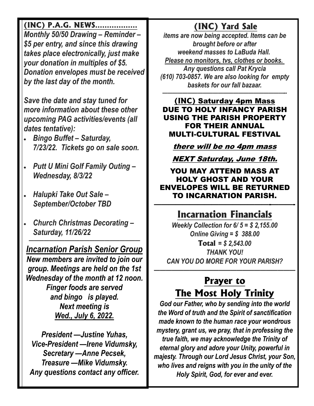# **(INC) P.A.G. NEWS………………**

*Monthly 50/50 Drawing – Reminder – \$5 per entry, and since this drawing takes place electronically, just make your donation in multiples of \$5. Donation envelopes must be received by the last day of the month.* 

*Save the date and stay tuned for more information about these other upcoming PAG activities/events (all dates tentative):*

- *Bingo Buffet – Saturday, 7/23/22. Tickets go on sale soon.*
- *Putt U Mini Golf Family Outing – Wednesday, 8/3/22*
- *Halupki Take Out Sale – September/October TBD*
- *Church Christmas Decorating – Saturday, 11/26/22*

*——————————————————————*

*Incarnation Parish Senior Group New members are invited to join our group. Meetings are held on the 1st Wednesday of the month at 12 noon. Finger foods are served and bingo is played. Next meeting is Wed., July 6, 2022.* 

*President —Justine Yuhas, Vice-President —Irene Vidumsky, Secretary —Anne Pecsek, Treasure —Mike Vidumsky. Any questions contact any officer.* 

# **(INC) Yard Sale**

*items are now being accepted. Items can be brought before or after weekend masses to LaBuda Hall. Please no monitors, tvs, clothes or books. Any questions call Pat Krycia (610) 703-0857. We are also looking for empty baskets for our fall bazaar. ————————————————————————--* 

### **(INC) Saturday 4pm Mass DUE TO HOLY INFANCY PARISH USING THE PARISH PROPERTY FOR THEIR ANNUAL MULTI-CULTURAL FESTIVAL**

### **there will be no 4pm mass**

# **NEXT Saturday, June 18th.**

### **YOU MAY ATTEND MASS AT HOLY GHOST AND YOUR ENVELOPES WILL BE RETURNED TO INCARNATION PARISH. ————————————————-———-**

# **Incarnation Financials**

*Weekly Collection for 6/ 5 = \$ 2,155.00 Online Giving = \$ 388.00*  **Total** *= \$ 2,543.00 THANK YOU! CAN YOU DO MORE FOR YOUR PARISH?* 

# **Prayer to The Most Holy Trinity**

*————————————————————————*

*God our Father, who by sending into the world the Word of truth and the Spirit of sanctification made known to the human race your wondrous mystery, grant us, we pray, that in professing the true faith, we may acknowledge the Trinity of eternal glory and adore your Unity, powerful in majesty. Through our Lord Jesus Christ, your Son, who lives and reigns with you in the unity of the Holy Spirit, God, for ever and ever.*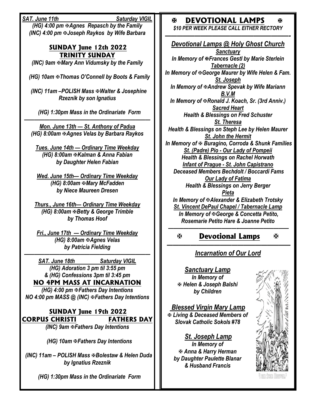### **SAT.** June 11th Saturday VIGIL

*(HG) 4:00 pm Agnes Repasch by the Family (INC) 4:00 pm Joseph Raykos by Wife Barbara* 

### **SUNDAY June 12th 2022 TRINITY SUNDAY**

*(INC) 9am Mary Ann Vidumsky by the Family*

 *(HG) 10am Thomas O'Connell by Boots & Family* 

 *(INC) 11am –POLISH Mass Walter & Josephine Rzeznik by son Ignatius*

 *(HG) 1:30pm Mass in the Ordinariate Form* 

*————————————————————————— Mon. June 13th — St. Anthony of Padua (HG) 8:00am Agnes Velas by Barbara Raykos*

*Tues. June 14th — Ordinary Time Weekday (HG) 8:00am*  $\Phi$ *Kalman & Anna Fabian by Daughter Helen Fabian*

*Wed. June 15th— Ordinary Time Weekday (HG) 8:00am Mary McFadden by Niece Maureen Dresen*

*Thurs., June 16th— Ordinary Time Weekday (HG) 8:00am Betty & George Trimble by Thomas Hoof*

*Fri., June 17th — Ordinary Time Weekday (HG) 8:00am*  $\textcircled{r}$ *Agnes Velas by Patricia Fielding* 

*————————————————————————— SAT. June 18th Saturday VIGIL (HG) Adoration 3 pm til 3:55 pm & (HG) Confessions 3pm til 3:45 pm*

### **NO 4PM MASS AT INCARNATION**

*(HG) 4:00 pm Fathers Day Intentions NO 4:00 pm MASS @ (INC)*  $E$ *Fathers Day Intentions* 

#### **SUNDAY June 19th 2022 CORPUS CHRISTI FATHERS DAY**  *(INC) 9am Fathers Day Intentions*

 *(HG) 10am Fathers Day Intentions* 

 *(INC) 11am – POLISH Mass Bolestaw & Helen Duda by Ignatius Rzeznik*

 *(HG) 1:30pm Mass in the Ordinariate Form* 

# **EXAMPLE DEVOTIONAL LAMPS**

*\$10 PER WEEK PLEASE CALL EITHER RECTORY —————————————————————-*

ж

*Devotional Lamps @ Holy Ghost Church Sanctuary*  **In Memory of & Frances Gestl by Marie Sterlein** *Tabernacle (2) In Memory of George Maurer by Wife Helen & Fam. St. Joseph*  **In Memory of**  $A$ **ndrew Spevak by Wife Mariann** *B.V.M*  **In Memory of**  $R$ **onald J. Koach, Sr. (3rd Anniv.)** *Sacred Heart Health & Blessings on Fred Schuster St. Theresa Health & Blessings on Steph Lee by Helen Maurer St. John the Hermit In Memory of Buragino, Corroda & Shunk Families St. (Padre) Pio - Our Lady of Pompeii Health & Blessings on Rachel Horwath Infant of Prague - St. John Capistrano Deceased Members Bechdolt / Boccardi Fams Our Lady of Fatima Health & Blessings on Jerry Berger Pieta In Memory of Alexander & Elizabeth Trotsky St. Vincent DePaul Chapel / Tabernacle Lamp In Memory of George & Concetta Petito, Rosemarie Petito Hare & Joanne Petito*

#### *——————–———————-——————————* **Devotional Lamps**  闲 Ж

### *————————————————————— Incarnation of Our Lord*

*Sanctuary Lamp In Memory of Helen & Joseph Balshi by Children* 

*Blessed Virgin Mary Lamp Living & Deceased Members of Slovak Catholic Sokols #78* 

*St. Joseph Lamp In Memory of Anna & Harry Herman by Daughter Paulette Blanar & Husband Francis*